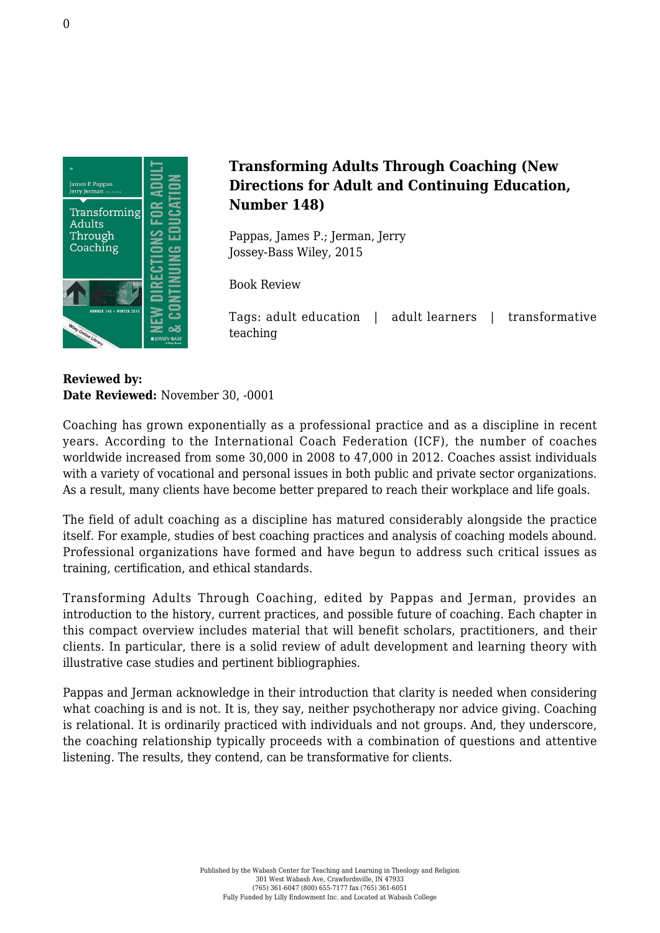

## **Transforming Adults Through Coaching (New Directions for Adult and Continuing Education, Number 148)**

Pappas, James P.; Jerman, Jerry [Jossey-Bass Wiley, 2015](http://www.wiley.com/WileyCDA/WileyTitle/productCd-1119215080,miniSiteCd-JBHIGHERED,navId-812165.html)

Book Review

Tags: adult education | adult learners | transformative teaching

**Reviewed by: Date Reviewed:** November 30, -0001

Coaching has grown exponentially as a professional practice and as a discipline in recent years. According to the International Coach Federation (ICF), the number of coaches worldwide increased from some 30,000 in 2008 to 47,000 in 2012. Coaches assist individuals with a variety of vocational and personal issues in both public and private sector organizations. As a result, many clients have become better prepared to reach their workplace and life goals.

The field of adult coaching as a discipline has matured considerably alongside the practice itself. For example, studies of best coaching practices and analysis of coaching models abound. Professional organizations have formed and have begun to address such critical issues as training, certification, and ethical standards.

Transforming Adults Through Coaching, edited by Pappas and Jerman, provides an introduction to the history, current practices, and possible future of coaching. Each chapter in this compact overview includes material that will benefit scholars, practitioners, and their clients. In particular, there is a solid review of adult development and learning theory with illustrative case studies and pertinent bibliographies.

Pappas and Jerman acknowledge in their introduction that clarity is needed when considering what coaching is and is not. It is, they say, neither psychotherapy nor advice giving. Coaching is relational. It is ordinarily practiced with individuals and not groups. And, they underscore, the coaching relationship typically proceeds with a combination of questions and attentive listening. The results, they contend, can be transformative for clients.